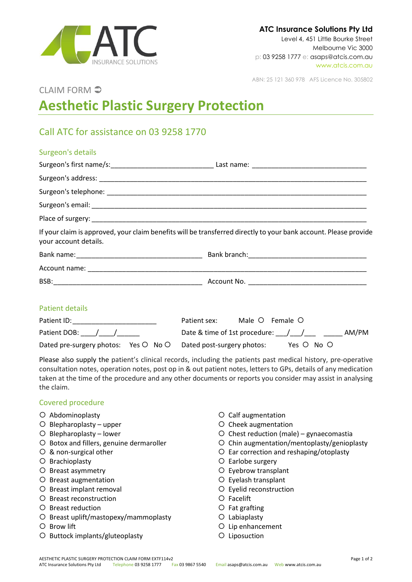

ABN: 25 121 360 978 AFS Licence No. 305802

## CLAIM FORM

# **Aesthetic Plastic Surgery Protection**

# Call ATC for assistance on 03 9258 1770

### Surgeon's details

| your account details. | If your claim is approved, your claim benefits will be transferred directly to your bank account. Please provide |
|-----------------------|------------------------------------------------------------------------------------------------------------------|
|                       |                                                                                                                  |
|                       |                                                                                                                  |
|                       |                                                                                                                  |

#### Patient details

| Patient ID:                                                     | Patient sex:                        | Male O Female O |       |
|-----------------------------------------------------------------|-------------------------------------|-----------------|-------|
| Patient DOB: / /                                                | Date & time of 1st procedure: $/$ / |                 | AM/PM |
| Dated pre-surgery photos: Yes O No O Dated post-surgery photos: |                                     | Yes O No O      |       |

Please also supply the patient's clinical records, including the patients past medical history, pre-operative consultation notes, operation notes, post op in & out patient notes, letters to GPs, details of any medication taken at the time of the procedure and any other documents or reports you consider may assist in analysing the claim.

#### Covered procedure

- Abdominoplasty
- $O$  Blepharoplasty upper
- $O$  Blepharoplasty lower
- O Botox and fillers, genuine dermaroller
- & non-surgical other
- O Brachioplasty
- O Breast asymmetry
- O Breast augmentation
- O Breast implant removal
- O Breast reconstruction
- O Breast reduction
- O Breast uplift/mastopexy/mammoplasty
- O Brow lift
- O Buttock implants/gluteoplasty
- Calf augmentation
- O Cheek augmentation
- $O$  Chest reduction (male) gynaecomastia
- $O$  Chin augmentation/mentoplasty/genioplasty
- Ear correction and reshaping/otoplasty
- O Earlobe surgery
- Eyebrow transplant
- Eyelash transplant
- Eyelid reconstruction
- Facelift
- $O$  Fat grafting
- Labiaplasty
- O Lip enhancement
- O Liposuction